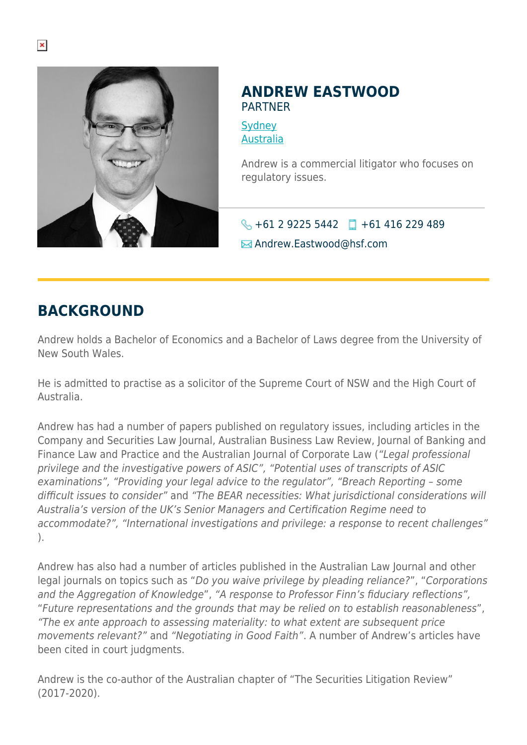

#### **ANDREW EASTWOOD** PARTNER

**[Sydney](https://www.herbertsmithfreehills.com/where-we-work/sydney)** [Australia](https://www.herbertsmithfreehills.com/where-we-work/australia)

Andrew is a commercial litigator who focuses on regulatory issues.

 $\bigodot$  +61 2 9225 5442 +61 416 229 489

Andrew.Eastwood@hsf.com

## **BACKGROUND**

Andrew holds a Bachelor of Economics and a Bachelor of Laws degree from the University of New South Wales.

He is admitted to practise as a solicitor of the Supreme Court of NSW and the High Court of Australia.

Andrew has had a number of papers published on regulatory issues, including articles in the Company and Securities Law Journal, Australian Business Law Review, Journal of Banking and Finance Law and Practice and the Australian Journal of Corporate Law ("Legal professional privilege and the investigative powers of ASIC", "Potential uses of transcripts of ASIC examinations", "Providing your legal advice to the regulator", "Breach Reporting – some difficult issues to consider" and "The BEAR necessities: What jurisdictional considerations will Australia's version of the UK's Senior Managers and Certification Regime need to accommodate?", "International investigations and privilege: a response to recent challenges" ).

Andrew has also had a number of articles published in the Australian Law Journal and other legal journals on topics such as "Do you waive privilege by pleading reliance?", "Corporations and the Aggregation of Knowledge", "A response to Professor Finn's fiduciary reflections", "Future representations and the grounds that may be relied on to establish reasonableness", "The ex ante approach to assessing materiality: to what extent are subsequent price movements relevant?" and "Negotiating in Good Faith". A number of Andrew's articles have been cited in court judgments.

Andrew is the co-author of the Australian chapter of "The Securities Litigation Review" (2017-2020).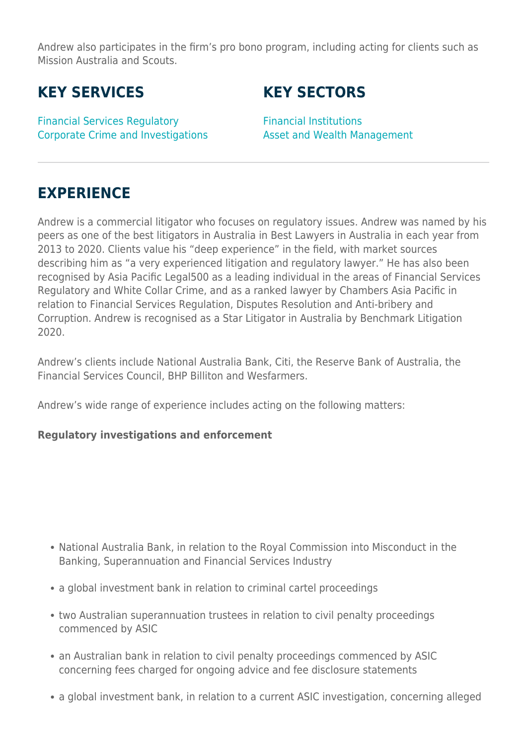Andrew also participates in the firm's pro bono program, including acting for clients such as Mission Australia and Scouts.

# **KEY SERVICES**

Financial Services Regulatory Corporate Crime and Investigations

# **KEY SECTORS**

Financial Institutions Asset and Wealth Management

# **EXPERIENCE**

Andrew is a commercial litigator who focuses on regulatory issues. Andrew was named by his peers as one of the best litigators in Australia in Best Lawyers in Australia in each year from 2013 to 2020. Clients value his "deep experience" in the field, with market sources describing him as "a very experienced litigation and regulatory lawyer." He has also been recognised by Asia Pacific Legal500 as a leading individual in the areas of Financial Services Regulatory and White Collar Crime, and as a ranked lawyer by Chambers Asia Pacific in relation to Financial Services Regulation, Disputes Resolution and Anti-bribery and Corruption. Andrew is recognised as a Star Litigator in Australia by Benchmark Litigation 2020.

Andrew's clients include National Australia Bank, Citi, the Reserve Bank of Australia, the Financial Services Council, BHP Billiton and Wesfarmers.

Andrew's wide range of experience includes acting on the following matters:

#### **Regulatory investigations and enforcement**

- National Australia Bank, in relation to the Royal Commission into Misconduct in the Banking, Superannuation and Financial Services Industry
- a global investment bank in relation to criminal cartel proceedings
- two Australian superannuation trustees in relation to civil penalty proceedings commenced by ASIC
- an Australian bank in relation to civil penalty proceedings commenced by ASIC concerning fees charged for ongoing advice and fee disclosure statements
- a global investment bank, in relation to a current ASIC investigation, concerning alleged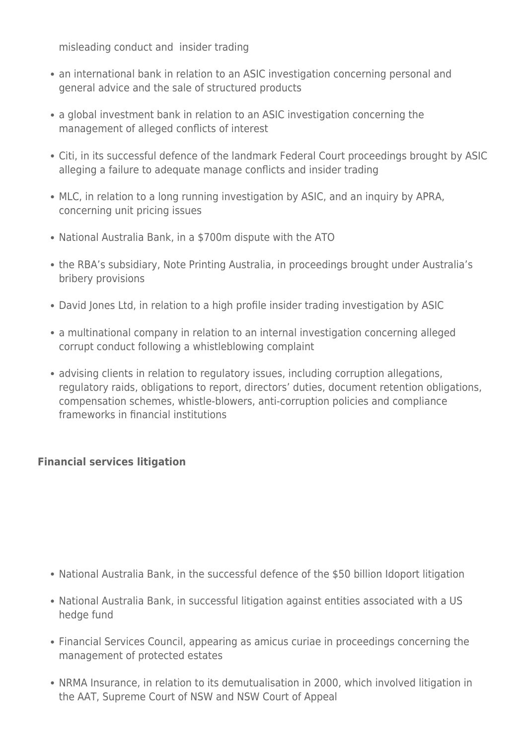misleading conduct and insider trading

- an international bank in relation to an ASIC investigation concerning personal and general advice and the sale of structured products
- a global investment bank in relation to an ASIC investigation concerning the management of alleged conflicts of interest
- Citi, in its successful defence of the landmark Federal Court proceedings brought by ASIC alleging a failure to adequate manage conflicts and insider trading
- MLC, in relation to a long running investigation by ASIC, and an inquiry by APRA, concerning unit pricing issues
- National Australia Bank, in a \$700m dispute with the ATO
- the RBA's subsidiary, Note Printing Australia, in proceedings brought under Australia's bribery provisions
- David Jones Ltd, in relation to a high profile insider trading investigation by ASIC
- a multinational company in relation to an internal investigation concerning alleged corrupt conduct following a whistleblowing complaint
- advising clients in relation to regulatory issues, including corruption allegations, regulatory raids, obligations to report, directors' duties, document retention obligations, compensation schemes, whistle-blowers, anti-corruption policies and compliance frameworks in financial institutions

### **Financial services litigation**

- National Australia Bank, in the successful defence of the \$50 billion Idoport litigation
- National Australia Bank, in successful litigation against entities associated with a US hedge fund
- Financial Services Council, appearing as amicus curiae in proceedings concerning the management of protected estates
- NRMA Insurance, in relation to its demutualisation in 2000, which involved litigation in the AAT, Supreme Court of NSW and NSW Court of Appeal